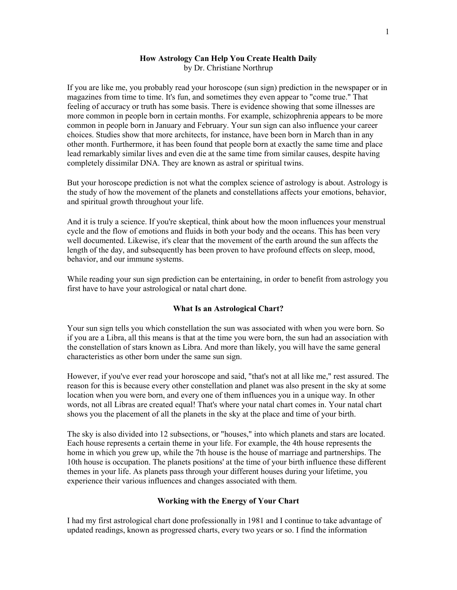#### How Astrology Can Help You Create Health Daily by Dr. Christiane Northrup

If you are like me, you probably read your horoscope (sun sign) prediction in the newspaper or in magazines from time to time. It's fun, and sometimes they even appear to "come true." That feeling of accuracy or truth has some basis. There is evidence showing that some illnesses are more common in people born in certain months. For example, schizophrenia appears to be more common in people born in January and February. Your sun sign can also influence your career choices. Studies show that more architects, for instance, have been born in March than in any other month. Furthermore, it has been found that people born at exactly the same time and place lead remarkably similar lives and even die at the same time from similar causes, despite having completely dissimilar DNA. They are known as astral or spiritual twins.

But your horoscope prediction is not what the complex science of astrology is about. Astrology is the study of how the movement of the planets and constellations affects your emotions, behavior, and spiritual growth throughout your life.

And it is truly a science. If you're skeptical, think about how the moon influences your menstrual cycle and the flow of emotions and fluids in both your body and the oceans. This has been very well documented. Likewise, it's clear that the movement of the earth around the sun affects the length of the day, and subsequently has been proven to have profound effects on sleep, mood, behavior, and our immune systems.

While reading your sun sign prediction can be entertaining, in order to benefit from astrology you first have to have your astrological or natal chart done.

## What Is an Astrological Chart?

Your sun sign tells you which constellation the sun was associated with when you were born. So if you are a Libra, all this means is that at the time you were born, the sun had an association with the constellation of stars known as Libra. And more than likely, you will have the same general characteristics as other born under the same sun sign.

However, if you've ever read your horoscope and said, "that's not at all like me," rest assured. The reason for this is because every other constellation and planet was also present in the sky at some location when you were born, and every one of them influences you in a unique way. In other words, not all Libras are created equal! That's where your natal chart comes in. Your natal chart shows you the placement of all the planets in the sky at the place and time of your birth.

The sky is also divided into 12 subsections, or "houses," into which planets and stars are located. Each house represents a certain theme in your life. For example, the 4th house represents the home in which you grew up, while the 7th house is the house of marriage and partnerships. The 10th house is occupation. The planets positions' at the time of your birth influence these different themes in your life. As planets pass through your different houses during your lifetime, you experience their various influences and changes associated with them.

# Working with the Energy of Your Chart

I had my first astrological chart done professionally in 1981 and I continue to take advantage of updated readings, known as progressed charts, every two years or so. I find the information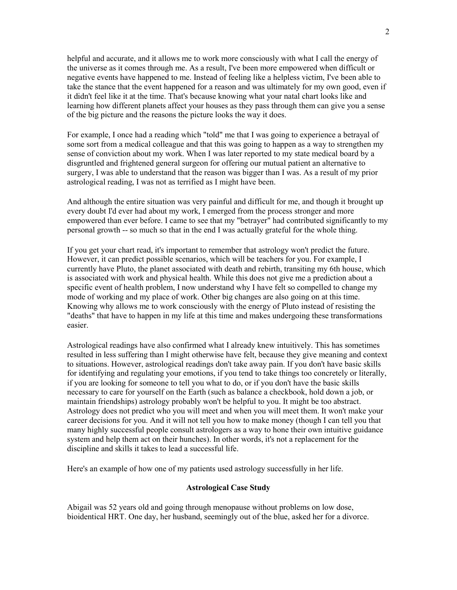helpful and accurate, and it allows me to work more consciously with what I call the energy of the universe as it comes through me. As a result, I've been more empowered when difficult or negative events have happened to me. Instead of feeling like a helpless victim, I've been able to take the stance that the event happened for a reason and was ultimately for my own good, even if it didn't feel like it at the time. That's because knowing what your natal chart looks like and learning how different planets affect your houses as they pass through them can give you a sense of the big picture and the reasons the picture looks the way it does.

For example, I once had a reading which "told" me that I was going to experience a betrayal of some sort from a medical colleague and that this was going to happen as a way to strengthen my sense of conviction about my work. When I was later reported to my state medical board by a disgruntled and frightened general surgeon for offering our mutual patient an alternative to surgery, I was able to understand that the reason was bigger than I was. As a result of my prior astrological reading, I was not as terrified as I might have been.

And although the entire situation was very painful and difficult for me, and though it brought up every doubt I'd ever had about my work, I emerged from the process stronger and more empowered than ever before. I came to see that my "betrayer" had contributed significantly to my personal growth -- so much so that in the end I was actually grateful for the whole thing.

If you get your chart read, it's important to remember that astrology won't predict the future. However, it can predict possible scenarios, which will be teachers for you. For example, I currently have Pluto, the planet associated with death and rebirth, transiting my 6th house, which is associated with work and physical health. While this does not give me a prediction about a specific event of health problem, I now understand why I have felt so compelled to change my mode of working and my place of work. Other big changes are also going on at this time. Knowing why allows me to work consciously with the energy of Pluto instead of resisting the "deaths" that have to happen in my life at this time and makes undergoing these transformations easier.

Astrological readings have also confirmed what I already knew intuitively. This has sometimes resulted in less suffering than I might otherwise have felt, because they give meaning and context to situations. However, astrological readings don't take away pain. If you don't have basic skills for identifying and regulating your emotions, if you tend to take things too concretely or literally, if you are looking for someone to tell you what to do, or if you don't have the basic skills necessary to care for yourself on the Earth (such as balance a checkbook, hold down a job, or maintain friendships) astrology probably won't be helpful to you. It might be too abstract. Astrology does not predict who you will meet and when you will meet them. It won't make your career decisions for you. And it will not tell you how to make money (though I can tell you that many highly successful people consult astrologers as a way to hone their own intuitive guidance system and help them act on their hunches). In other words, it's not a replacement for the discipline and skills it takes to lead a successful life.

Here's an example of how one of my patients used astrology successfully in her life.

### Astrological Case Study

Abigail was 52 years old and going through menopause without problems on low dose, bioidentical HRT. One day, her husband, seemingly out of the blue, asked her for a divorce.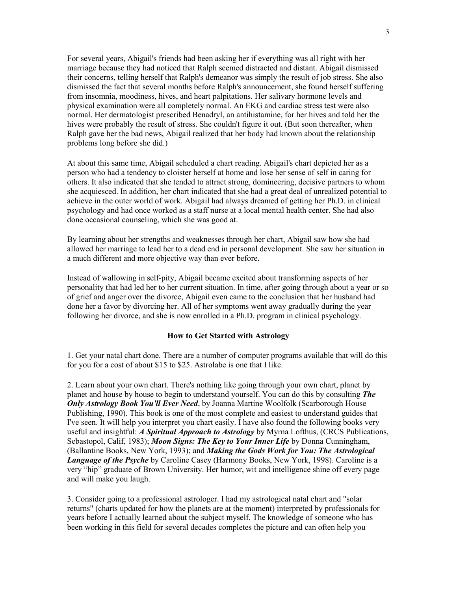For several years, Abigail's friends had been asking her if everything was all right with her marriage because they had noticed that Ralph seemed distracted and distant. Abigail dismissed their concerns, telling herself that Ralph's demeanor was simply the result of job stress. She also dismissed the fact that several months before Ralph's announcement, she found herself suffering from insomnia, moodiness, hives, and heart palpitations. Her salivary hormone levels and physical examination were all completely normal. An EKG and cardiac stress test were also normal. Her dermatologist prescribed Benadryl, an antihistamine, for her hives and told her the hives were probably the result of stress. She couldn't figure it out. (But soon thereafter, when Ralph gave her the bad news, Abigail realized that her body had known about the relationship problems long before she did.)

At about this same time, Abigail scheduled a chart reading. Abigail's chart depicted her as a person who had a tendency to cloister herself at home and lose her sense of self in caring for others. It also indicated that she tended to attract strong, domineering, decisive partners to whom she acquiesced. In addition, her chart indicated that she had a great deal of unrealized potential to achieve in the outer world of work. Abigail had always dreamed of getting her Ph.D. in clinical psychology and had once worked as a staff nurse at a local mental health center. She had also done occasional counseling, which she was good at.

By learning about her strengths and weaknesses through her chart, Abigail saw how she had allowed her marriage to lead her to a dead end in personal development. She saw her situation in a much different and more objective way than ever before.

Instead of wallowing in self-pity, Abigail became excited about transforming aspects of her personality that had led her to her current situation. In time, after going through about a year or so of grief and anger over the divorce, Abigail even came to the conclusion that her husband had done her a favor by divorcing her. All of her symptoms went away gradually during the year following her divorce, and she is now enrolled in a Ph.D. program in clinical psychology.

#### How to Get Started with Astrology

1. Get your natal chart done. There are a number of computer programs available that will do this for you for a cost of about \$15 to \$25. Astrolabe is one that I like.

2. Learn about your own chart. There's nothing like going through your own chart, planet by planet and house by house to begin to understand yourself. You can do this by consulting **The Only Astrology Book You'll Ever Need, by Joanna Martine Woolfolk (Scarborough House** Publishing, 1990). This book is one of the most complete and easiest to understand guides that I've seen. It will help you interpret you chart easily. I have also found the following books very useful and insightful: A Spiritual Approach to Astrology by Myrna Lofthus, (CRCS Publications, Sebastopol, Calif, 1983); Moon Signs: The Key to Your Inner Life by Donna Cunningham, (Ballantine Books, New York, 1993); and *Making the Gods Work for You: The Astrological* **Language of the Psyche** by Caroline Casey (Harmony Books, New York, 1998). Caroline is a very "hip" graduate of Brown University. Her humor, wit and intelligence shine off every page and will make you laugh.

3. Consider going to a professional astrologer. I had my astrological natal chart and "solar returns" (charts updated for how the planets are at the moment) interpreted by professionals for years before I actually learned about the subject myself. The knowledge of someone who has been working in this field for several decades completes the picture and can often help you